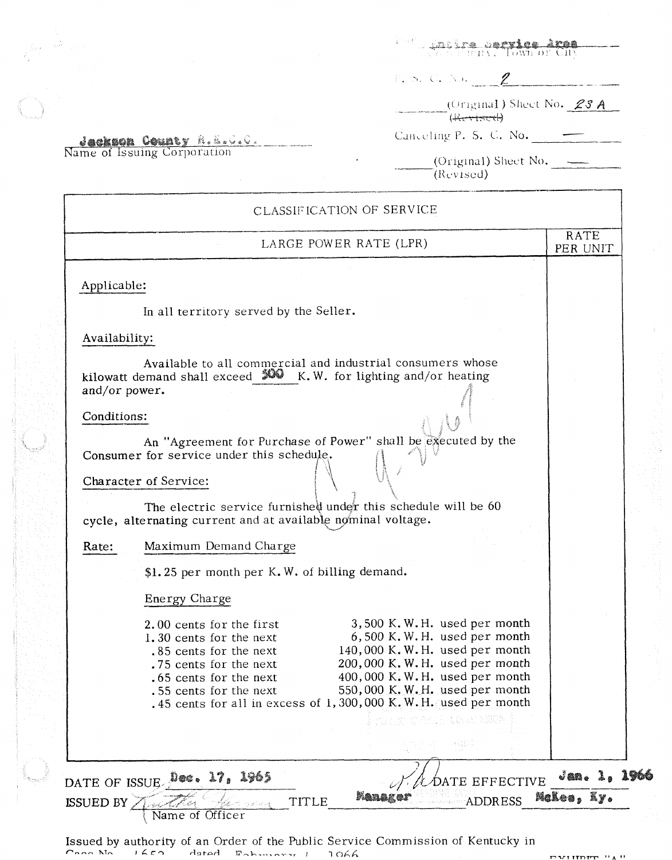**Carica Bertice Area**<br>Carica Derica Down or City 行行

 $\overline{\phantom{a}}$  (Original) Sheet No. 23 A

Canceling P. S. C. No.

**Jackson County R.E.C.C.**<br>Name of Issuing Corporation

(Original) Sheet No.  $(Revised)$ 

|               | LARGE POWER RATE (LPR)                                                                                                                                                               | RATE<br>PER UNIT |
|---------------|--------------------------------------------------------------------------------------------------------------------------------------------------------------------------------------|------------------|
| Applicable:   |                                                                                                                                                                                      |                  |
|               | In all territory served by the Seller.                                                                                                                                               |                  |
| Availability: |                                                                                                                                                                                      |                  |
| and/or power. | Available to all commercial and industrial consumers whose<br>kilowatt demand shall exceed $X$ K.W. for lighting and/or heating                                                      |                  |
| Conditions:   |                                                                                                                                                                                      |                  |
|               | An "Agreement for Purchase of Power" shall be executed by the<br>Consumer for service under this schedule.                                                                           |                  |
|               | Character of Service:                                                                                                                                                                |                  |
|               | The electric service furnished under this schedule will be 60<br>cycle, alternating current and at available nominal voltage.                                                        |                  |
| Rate:         | Maximum Demand Charge                                                                                                                                                                |                  |
|               | \$1.25 per month per K.W. of billing demand.                                                                                                                                         |                  |
|               | Energy Charge                                                                                                                                                                        |                  |
|               | 3,500 K.W.H. used per month<br>2.00 cents for the first<br>6,500 K.W.H. used per month<br>1.30 cents for the next                                                                    |                  |
|               | 140,000 K.W.H. used per month<br>.85 cents for the next<br>200,000 K.W.H. used per month<br>.75 cents for the next                                                                   |                  |
|               | 400,000 K.W.H. used per month<br>.65 cents for the next<br>550,000 K.W.H. used per month<br>.55 cents for the next<br>.45 cents for all in excess of 1,300,000 K.W.H. used per month |                  |
|               | in San Police an NSES<br>ang pa                                                                                                                                                      |                  |
|               |                                                                                                                                                                                      | $J$ an. 1, 1966  |
|               | DATE OF ISSUE Dec. 17, 1965<br>DATE EFFECTIVE                                                                                                                                        | McLes, Ky.       |

Issued by authority of an Order of the Public Service Commission of Kentucky in <br>*P-200* No. 1460 *- Lated* **Extinct LAD -** 1066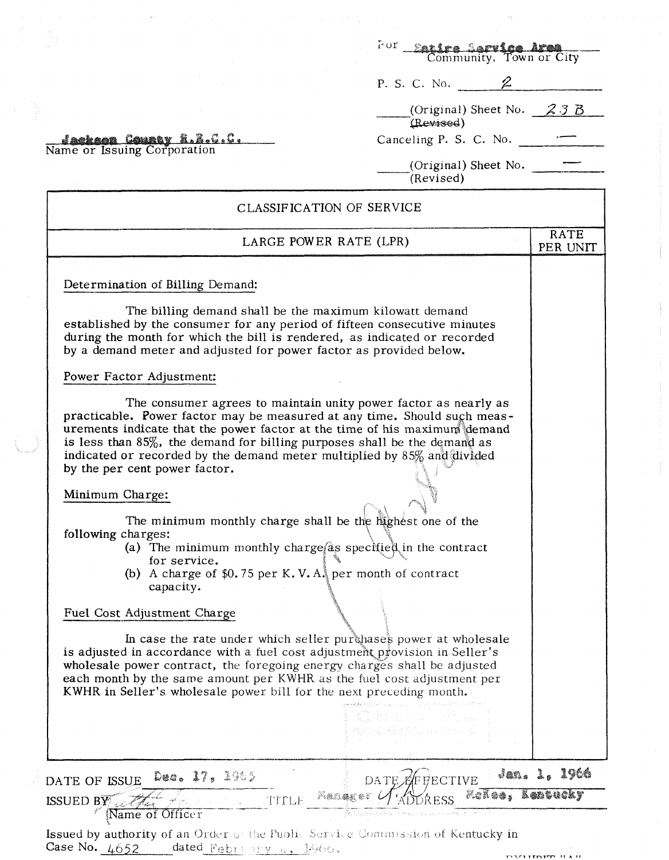|                                                                                                                                                                                                                                                                                                                                                                                                                      | For Eatire Service Area<br>Community, Town or City |                  |
|----------------------------------------------------------------------------------------------------------------------------------------------------------------------------------------------------------------------------------------------------------------------------------------------------------------------------------------------------------------------------------------------------------------------|----------------------------------------------------|------------------|
|                                                                                                                                                                                                                                                                                                                                                                                                                      | P. S. C. No. $2$                                   |                  |
|                                                                                                                                                                                                                                                                                                                                                                                                                      | (Original) Sheet No. $23B$<br>(Revised)            |                  |
| <u>Jackson County R.R.C.C.</u><br>Name or Issuing Corporation                                                                                                                                                                                                                                                                                                                                                        | Canceling P. S. C. No. $\qquad \qquad \qquad$      |                  |
|                                                                                                                                                                                                                                                                                                                                                                                                                      | (Original) Sheet No.<br>(Revised)                  |                  |
| CLASSIFICATION OF SERVICE                                                                                                                                                                                                                                                                                                                                                                                            |                                                    |                  |
| LARGE POWER RATE (LPR)                                                                                                                                                                                                                                                                                                                                                                                               |                                                    | RATE<br>PER UNIT |
| Determination of Billing Demand:                                                                                                                                                                                                                                                                                                                                                                                     |                                                    |                  |
| The billing demand shall be the maximum kilowatt demand<br>established by the consumer for any period of fifteen consecutive minutes<br>during the month for which the bill is rendered, as indicated or recorded<br>by a demand meter and adjusted for power factor as provided below.                                                                                                                              |                                                    |                  |
| Power Factor Adjustment:                                                                                                                                                                                                                                                                                                                                                                                             |                                                    |                  |
| The consumer agrees to maintain unity power factor as nearly as<br>practicable. Power factor may be measured at any time. Should such meas-<br>urements indicate that the power factor at the time of his maximum demand<br>is less than $85\%$ , the demand for billing purposes shall be the demand as<br>indicated or recorded by the demand meter multiplied by 85% and divided<br>by the per cent power factor. |                                                    |                  |
| Minimum Charge:                                                                                                                                                                                                                                                                                                                                                                                                      |                                                    |                  |
| The minimum monthly charge shall be the highest one of the<br>following charges:<br>(a) The minimum monthly charge as specified in the contract<br>for service.<br>(b) A charge of $$0.75$ per K.V. $A_{\alpha}$ per month of contract<br>capacity.                                                                                                                                                                  |                                                    |                  |
| Fuel Cost Adjustment Charge                                                                                                                                                                                                                                                                                                                                                                                          |                                                    |                  |
| In case the rate under which seller purchases power at wholesale<br>is adjusted in accordance with a fuel cost adjustment provision in Seller's<br>wholesale power contract, the foregoing energy charges shall be adjusted<br>each month by the same amount per KWHR as the fuel cost adjustment per<br>KWHR in Seller's wholesale power bill for the next preceding month.                                         |                                                    |                  |
|                                                                                                                                                                                                                                                                                                                                                                                                                      | Contribution of the sec<br>魏国、邓国明、中国中国             |                  |
| Dec. 17, 1965<br>DATE OF ISSUE                                                                                                                                                                                                                                                                                                                                                                                       | DATE EFFECTIVE                                     | Jan. 1, 1966     |
| - Manaker L<br>TITLE<br>ISSUED BY<br>Name of Officer                                                                                                                                                                                                                                                                                                                                                                 | - Moñee, Leatucky                                  |                  |

 $\ddotsc$ 

**Issued by authority of an Order** of the Public Service Commission of Kentucky in Case No.  $4652$  dated **February 4.** 1966.

 $\frac{1}{2}$ 

 $\omega_{\rm{g}}$